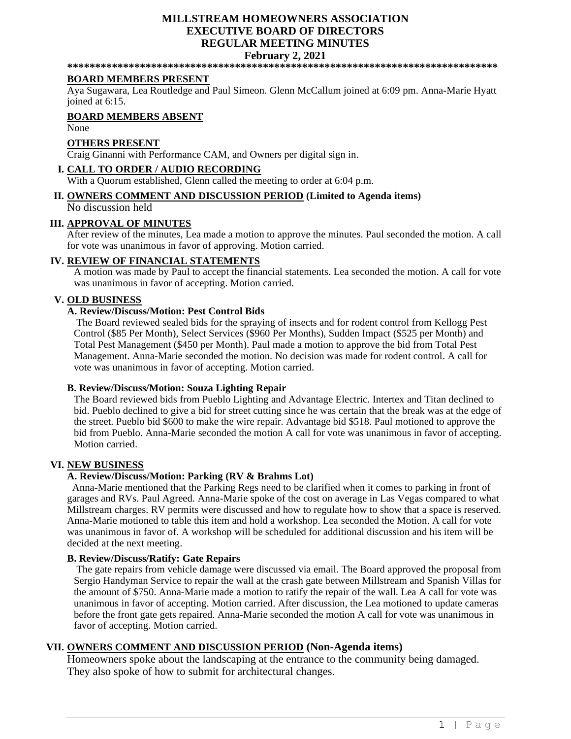## **MILLSTREAM HOMEOWNERS ASSOCIATION EXECUTIVE BOARD OF DIRECTORS REGULAR MEETING MINUTES February 2, 2021**

**\*\*\*\*\*\*\*\*\*\*\*\*\*\*\*\*\*\*\*\*\*\*\*\*\*\*\*\*\*\*\*\*\*\*\*\*\*\*\*\*\*\*\*\*\*\*\*\*\*\*\*\*\*\*\*\*\*\*\*\*\*\*\*\*\*\*\*\*\*\*\*\*\*\*\*\*\***

#### **BOARD MEMBERS PRESENT**

Aya Sugawara, Lea Routledge and Paul Simeon. Glenn McCallum joined at 6:09 pm. Anna-Marie Hyatt joined at 6:15.

## **BOARD MEMBERS ABSENT**

None

#### **OTHERS PRESENT**

Craig Ginanni with Performance CAM, and Owners per digital sign in.

# **I. CALL TO ORDER / AUDIO RECORDING**

With a Quorum established, Glenn called the meeting to order at 6:04 p.m.

# **II. OWNERS COMMENT AND DISCUSSION PERIOD (Limited to Agenda items)**

No discussion held

### **III. APPROVAL OF MINUTES**

After review of the minutes, Lea made a motion to approve the minutes. Paul seconded the motion. A call for vote was unanimous in favor of approving. Motion carried.

### **IV. REVIEW OF FINANCIAL STATEMENTS**

A motion was made by Paul to accept the financial statements. Lea seconded the motion. A call for vote was unanimous in favor of accepting. Motion carried.

### **V. OLD BUSINESS**

# **A. Review/Discuss/Motion: Pest Control Bids**

The Board reviewed sealed bids for the spraying of insects and for rodent control from Kellogg Pest Control (\$85 Per Month), Select Services (\$960 Per Months), Sudden Impact (\$525 per Month) and Total Pest Management (\$450 per Month). Paul made a motion to approve the bid from Total Pest Management. Anna-Marie seconded the motion. No decision was made for rodent control. A call for vote was unanimous in favor of accepting. Motion carried.

### **B. Review/Discuss/Motion: Souza Lighting Repair**

The Board reviewed bids from Pueblo Lighting and Advantage Electric. Intertex and Titan declined to bid. Pueblo declined to give a bid for street cutting since he was certain that the break was at the edge of the street. Pueblo bid \$600 to make the wire repair. Advantage bid \$518. Paul motioned to approve the bid from Pueblo. Anna-Marie seconded the motion A call for vote was unanimous in favor of accepting. Motion carried.

#### **VI. NEW BUSINESS**

# **A. Review/Discuss/Motion: Parking (RV & Brahms Lot)**

 Anna-Marie mentioned that the Parking Regs need to be clarified when it comes to parking in front of garages and RVs. Paul Agreed. Anna-Marie spoke of the cost on average in Las Vegas compared to what Millstream charges. RV permits were discussed and how to regulate how to show that a space is reserved. Anna-Marie motioned to table this item and hold a workshop. Lea seconded the Motion. A call for vote was unanimous in favor of. A workshop will be scheduled for additional discussion and his item will be decided at the next meeting.

#### **B. Review/Discuss/Ratify: Gate Repairs**

The gate repairs from vehicle damage were discussed via email. The Board approved the proposal from Sergio Handyman Service to repair the wall at the crash gate between Millstream and Spanish Villas for the amount of \$750. Anna-Marie made a motion to ratify the repair of the wall. Lea A call for vote was unanimous in favor of accepting. Motion carried. After discussion, the Lea motioned to update cameras before the front gate gets repaired. Anna-Marie seconded the motion A call for vote was unanimous in favor of accepting. Motion carried.

## **VII. OWNERS COMMENT AND DISCUSSION PERIOD (Non-Agenda items)**

Homeowners spoke about the landscaping at the entrance to the community being damaged. They also spoke of how to submit for architectural changes.